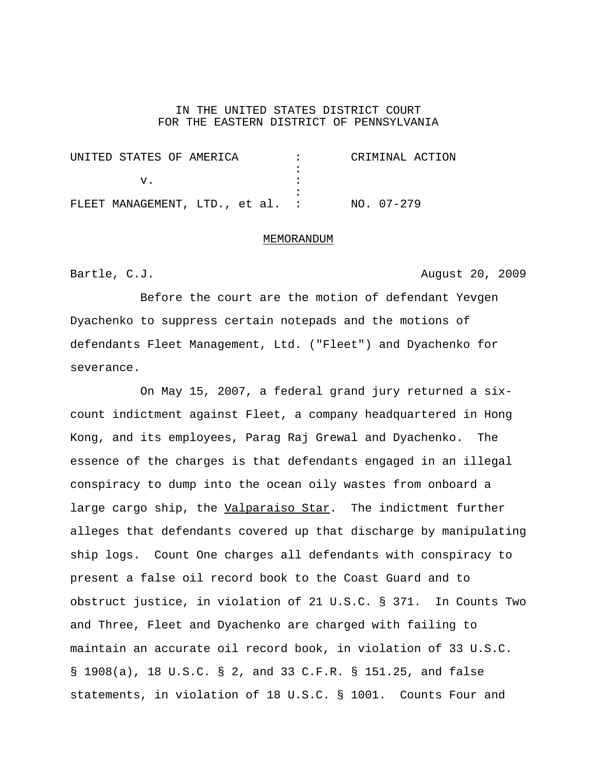## IN THE UNITED STATES DISTRICT COURT FOR THE EASTERN DISTRICT OF PENNSYLVANIA

| UNITED STATES OF AMERICA         |  |  |  |            | CRIMINAL ACTION |
|----------------------------------|--|--|--|------------|-----------------|
|                                  |  |  |  |            |                 |
|                                  |  |  |  |            |                 |
|                                  |  |  |  |            |                 |
| FLEET MANAGEMENT, LTD., et al. : |  |  |  | NO. 07-279 |                 |

## MEMORANDUM

Bartle, C.J. **August 20, 2009** 

Before the court are the motion of defendant Yevgen Dyachenko to suppress certain notepads and the motions of defendants Fleet Management, Ltd. ("Fleet") and Dyachenko for severance.

On May 15, 2007, a federal grand jury returned a sixcount indictment against Fleet, a company headquartered in Hong Kong, and its employees, Parag Raj Grewal and Dyachenko. The essence of the charges is that defendants engaged in an illegal conspiracy to dump into the ocean oily wastes from onboard a large cargo ship, the Valparaiso Star. The indictment further alleges that defendants covered up that discharge by manipulating ship logs. Count One charges all defendants with conspiracy to present a false oil record book to the Coast Guard and to obstruct justice, in violation of 21 U.S.C. § 371. In Counts Two and Three, Fleet and Dyachenko are charged with failing to maintain an accurate oil record book, in violation of 33 U.S.C. § 1908(a), 18 U.S.C. § 2, and 33 C.F.R. § 151.25, and false statements, in violation of 18 U.S.C. § 1001. Counts Four and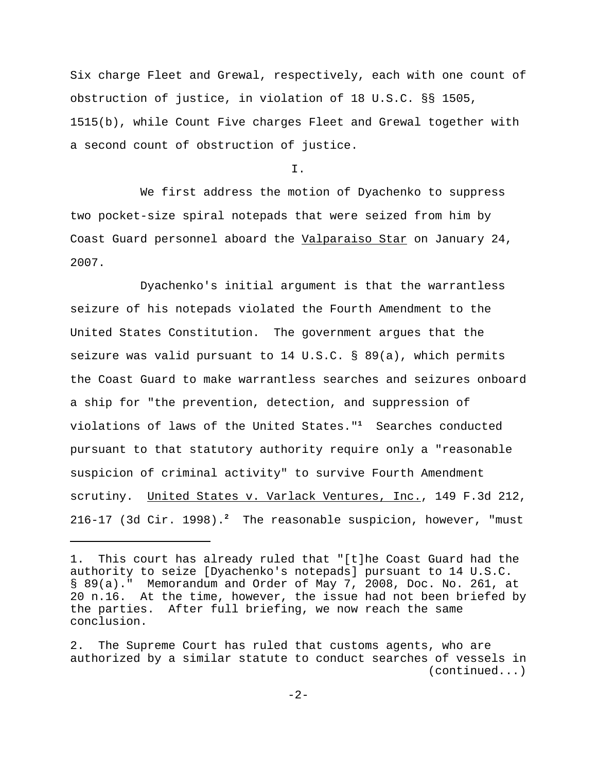Six charge Fleet and Grewal, respectively, each with one count of obstruction of justice, in violation of 18 U.S.C. §§ 1505, 1515(b), while Count Five charges Fleet and Grewal together with a second count of obstruction of justice.

I.

We first address the motion of Dyachenko to suppress two pocket-size spiral notepads that were seized from him by Coast Guard personnel aboard the Valparaiso Star on January 24, 2007.

Dyachenko's initial argument is that the warrantless seizure of his notepads violated the Fourth Amendment to the United States Constitution. The government argues that the seizure was valid pursuant to 14 U.S.C. § 89(a), which permits the Coast Guard to make warrantless searches and seizures onboard a ship for "the prevention, detection, and suppression of violations of laws of the United States."**<sup>1</sup>** Searches conducted pursuant to that statutory authority require only a "reasonable suspicion of criminal activity" to survive Fourth Amendment scrutiny. United States v. Varlack Ventures, Inc., 149 F.3d 212, 216-17 (3d Cir. 1998).**<sup>2</sup>** The reasonable suspicion, however, "must

<sup>1.</sup> This court has already ruled that "[t]he Coast Guard had the authority to seize [Dyachenko's notepads] pursuant to 14 U.S.C. § 89(a)." Memorandum and Order of May 7, 2008, Doc. No. 261, at 20 n.16. At the time, however, the issue had not been briefed by the parties. After full briefing, we now reach the same conclusion.

<sup>2.</sup> The Supreme Court has ruled that customs agents, who are authorized by a similar statute to conduct searches of vessels in (continued...)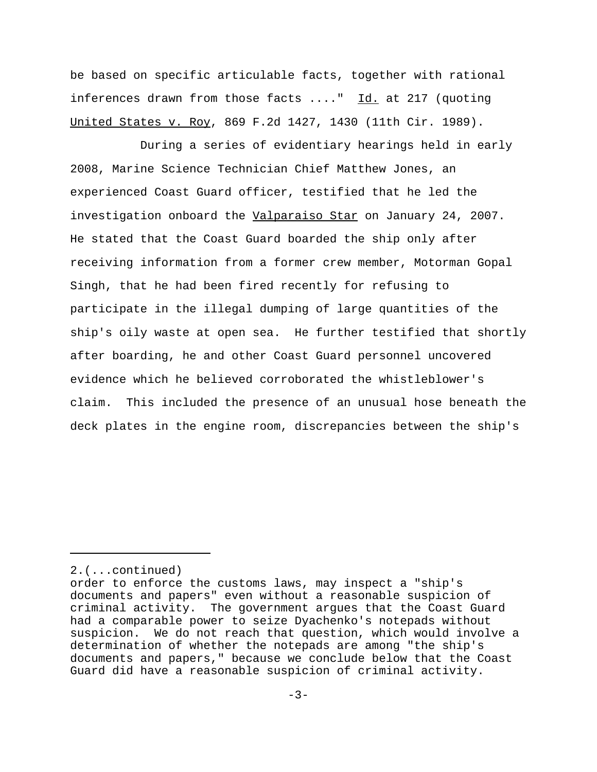be based on specific articulable facts, together with rational inferences drawn from those facts ...." Id. at 217 (quoting United States v. Roy, 869 F.2d 1427, 1430 (11th Cir. 1989).

During a series of evidentiary hearings held in early 2008, Marine Science Technician Chief Matthew Jones, an experienced Coast Guard officer, testified that he led the investigation onboard the Valparaiso Star on January 24, 2007. He stated that the Coast Guard boarded the ship only after receiving information from a former crew member, Motorman Gopal Singh, that he had been fired recently for refusing to participate in the illegal dumping of large quantities of the ship's oily waste at open sea. He further testified that shortly after boarding, he and other Coast Guard personnel uncovered evidence which he believed corroborated the whistleblower's claim. This included the presence of an unusual hose beneath the deck plates in the engine room, discrepancies between the ship's

<sup>2.(...</sup>continued)

order to enforce the customs laws, may inspect a "ship's documents and papers" even without a reasonable suspicion of criminal activity. The government argues that the Coast Guard had a comparable power to seize Dyachenko's notepads without suspicion. We do not reach that question, which would involve a determination of whether the notepads are among "the ship's documents and papers," because we conclude below that the Coast Guard did have a reasonable suspicion of criminal activity.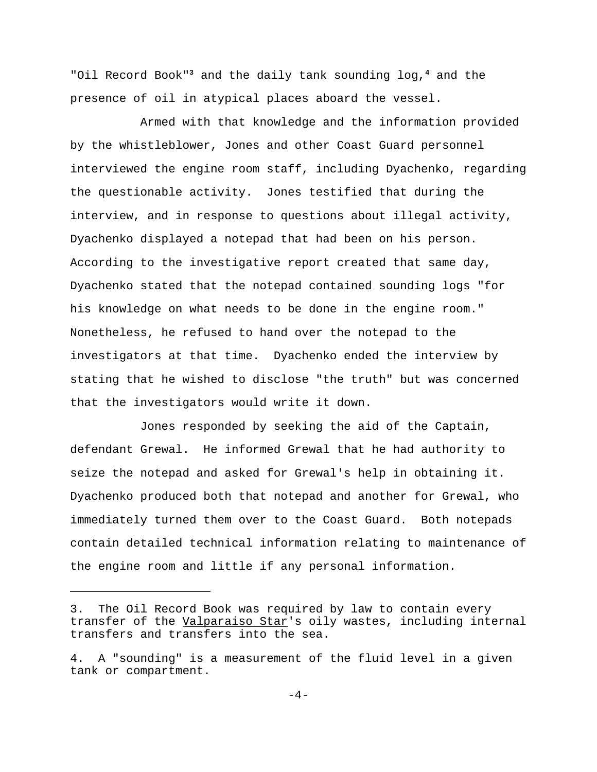"Oil Record Book"**<sup>3</sup>** and the daily tank sounding log,**<sup>4</sup>** and the presence of oil in atypical places aboard the vessel.

Armed with that knowledge and the information provided by the whistleblower, Jones and other Coast Guard personnel interviewed the engine room staff, including Dyachenko, regarding the questionable activity. Jones testified that during the interview, and in response to questions about illegal activity, Dyachenko displayed a notepad that had been on his person. According to the investigative report created that same day, Dyachenko stated that the notepad contained sounding logs "for his knowledge on what needs to be done in the engine room." Nonetheless, he refused to hand over the notepad to the investigators at that time. Dyachenko ended the interview by stating that he wished to disclose "the truth" but was concerned that the investigators would write it down.

Jones responded by seeking the aid of the Captain, defendant Grewal. He informed Grewal that he had authority to seize the notepad and asked for Grewal's help in obtaining it. Dyachenko produced both that notepad and another for Grewal, who immediately turned them over to the Coast Guard. Both notepads contain detailed technical information relating to maintenance of the engine room and little if any personal information.

<sup>3.</sup> The Oil Record Book was required by law to contain every transfer of the Valparaiso Star's oily wastes, including internal transfers and transfers into the sea.

<sup>4.</sup> A "sounding" is a measurement of the fluid level in a given tank or compartment.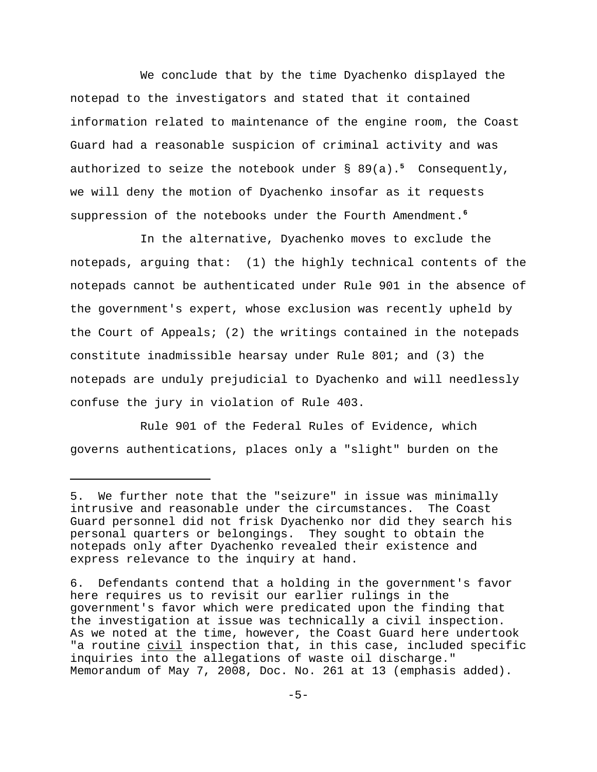We conclude that by the time Dyachenko displayed the notepad to the investigators and stated that it contained information related to maintenance of the engine room, the Coast Guard had a reasonable suspicion of criminal activity and was authorized to seize the notebook under § 89(a).**<sup>5</sup>** Consequently, we will deny the motion of Dyachenko insofar as it requests suppression of the notebooks under the Fourth Amendment.**<sup>6</sup>**

In the alternative, Dyachenko moves to exclude the notepads, arguing that: (1) the highly technical contents of the notepads cannot be authenticated under Rule 901 in the absence of the government's expert, whose exclusion was recently upheld by the Court of Appeals; (2) the writings contained in the notepads constitute inadmissible hearsay under Rule 801; and (3) the notepads are unduly prejudicial to Dyachenko and will needlessly confuse the jury in violation of Rule 403.

Rule 901 of the Federal Rules of Evidence, which governs authentications, places only a "slight" burden on the

<sup>5.</sup> We further note that the "seizure" in issue was minimally intrusive and reasonable under the circumstances. The Coast Guard personnel did not frisk Dyachenko nor did they search his personal quarters or belongings. They sought to obtain the notepads only after Dyachenko revealed their existence and express relevance to the inquiry at hand.

<sup>6.</sup> Defendants contend that a holding in the government's favor here requires us to revisit our earlier rulings in the government's favor which were predicated upon the finding that the investigation at issue was technically a civil inspection. As we noted at the time, however, the Coast Guard here undertook "a routine civil inspection that, in this case, included specific inquiries into the allegations of waste oil discharge." Memorandum of May 7, 2008, Doc. No. 261 at 13 (emphasis added).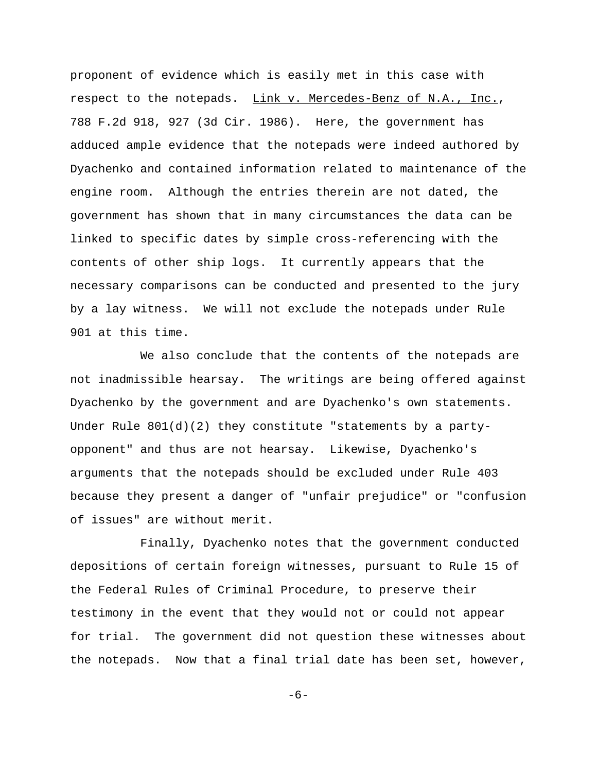proponent of evidence which is easily met in this case with respect to the notepads. Link v. Mercedes-Benz of N.A., Inc., 788 F.2d 918, 927 (3d Cir. 1986). Here, the government has adduced ample evidence that the notepads were indeed authored by Dyachenko and contained information related to maintenance of the engine room. Although the entries therein are not dated, the government has shown that in many circumstances the data can be linked to specific dates by simple cross-referencing with the contents of other ship logs. It currently appears that the necessary comparisons can be conducted and presented to the jury by a lay witness. We will not exclude the notepads under Rule 901 at this time.

We also conclude that the contents of the notepads are not inadmissible hearsay. The writings are being offered against Dyachenko by the government and are Dyachenko's own statements. Under Rule  $801(d)(2)$  they constitute "statements by a partyopponent" and thus are not hearsay. Likewise, Dyachenko's arguments that the notepads should be excluded under Rule 403 because they present a danger of "unfair prejudice" or "confusion of issues" are without merit.

Finally, Dyachenko notes that the government conducted depositions of certain foreign witnesses, pursuant to Rule 15 of the Federal Rules of Criminal Procedure, to preserve their testimony in the event that they would not or could not appear for trial. The government did not question these witnesses about the notepads. Now that a final trial date has been set, however,

-6-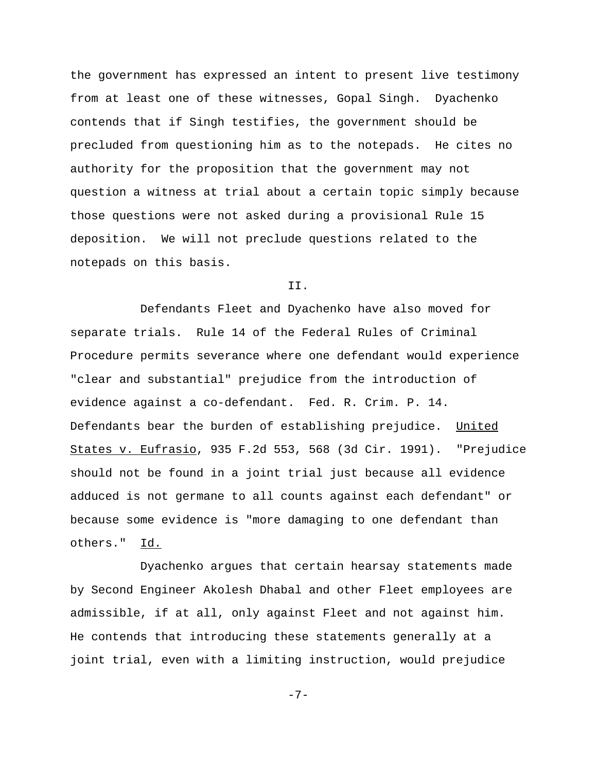the government has expressed an intent to present live testimony from at least one of these witnesses, Gopal Singh. Dyachenko contends that if Singh testifies, the government should be precluded from questioning him as to the notepads. He cites no authority for the proposition that the government may not question a witness at trial about a certain topic simply because those questions were not asked during a provisional Rule 15 deposition. We will not preclude questions related to the notepads on this basis.

II.

Defendants Fleet and Dyachenko have also moved for separate trials. Rule 14 of the Federal Rules of Criminal Procedure permits severance where one defendant would experience "clear and substantial" prejudice from the introduction of evidence against a co-defendant. Fed. R. Crim. P. 14. Defendants bear the burden of establishing prejudice. United States v. Eufrasio, 935 F.2d 553, 568 (3d Cir. 1991). "Prejudice should not be found in a joint trial just because all evidence adduced is not germane to all counts against each defendant" or because some evidence is "more damaging to one defendant than others." Id.

Dyachenko argues that certain hearsay statements made by Second Engineer Akolesh Dhabal and other Fleet employees are admissible, if at all, only against Fleet and not against him. He contends that introducing these statements generally at a joint trial, even with a limiting instruction, would prejudice

-7-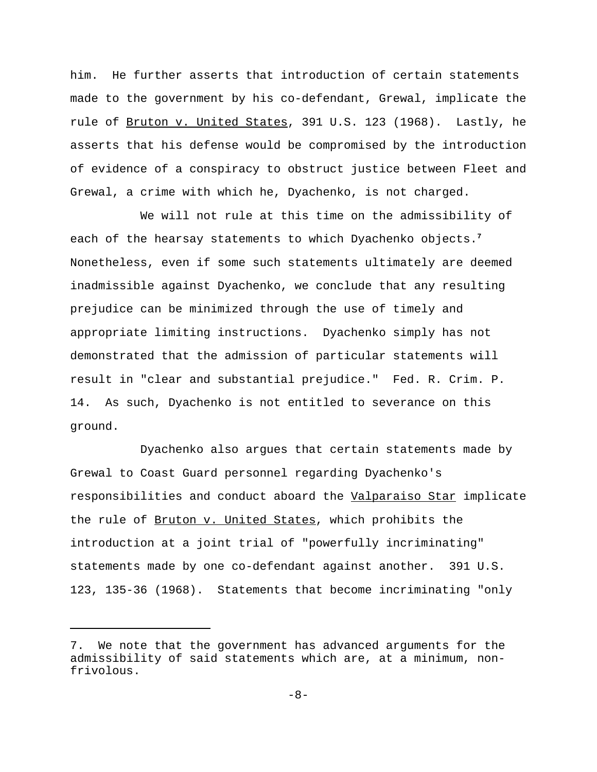him. He further asserts that introduction of certain statements made to the government by his co-defendant, Grewal, implicate the rule of Bruton v. United States, 391 U.S. 123 (1968). Lastly, he asserts that his defense would be compromised by the introduction of evidence of a conspiracy to obstruct justice between Fleet and Grewal, a crime with which he, Dyachenko, is not charged.

We will not rule at this time on the admissibility of each of the hearsay statements to which Dyachenko objects.**<sup>7</sup>** Nonetheless, even if some such statements ultimately are deemed inadmissible against Dyachenko, we conclude that any resulting prejudice can be minimized through the use of timely and appropriate limiting instructions. Dyachenko simply has not demonstrated that the admission of particular statements will result in "clear and substantial prejudice." Fed. R. Crim. P. 14. As such, Dyachenko is not entitled to severance on this ground.

Dyachenko also argues that certain statements made by Grewal to Coast Guard personnel regarding Dyachenko's responsibilities and conduct aboard the Valparaiso Star implicate the rule of Bruton v. United States, which prohibits the introduction at a joint trial of "powerfully incriminating" statements made by one co-defendant against another. 391 U.S. 123, 135-36 (1968). Statements that become incriminating "only

<sup>7.</sup> We note that the government has advanced arguments for the admissibility of said statements which are, at a minimum, nonfrivolous.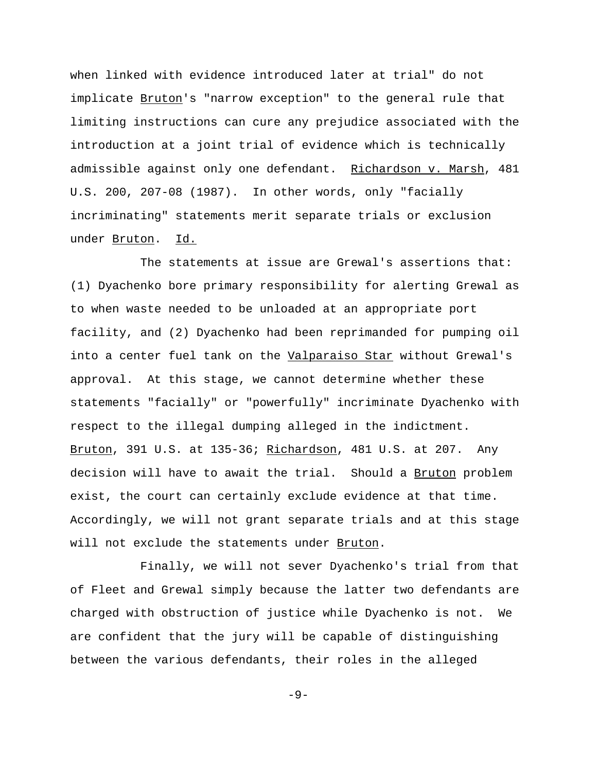when linked with evidence introduced later at trial" do not implicate Bruton's "narrow exception" to the general rule that limiting instructions can cure any prejudice associated with the introduction at a joint trial of evidence which is technically admissible against only one defendant. Richardson v. Marsh, 481 U.S. 200, 207-08 (1987). In other words, only "facially incriminating" statements merit separate trials or exclusion under Bruton. Id.

The statements at issue are Grewal's assertions that: (1) Dyachenko bore primary responsibility for alerting Grewal as to when waste needed to be unloaded at an appropriate port facility, and (2) Dyachenko had been reprimanded for pumping oil into a center fuel tank on the Valparaiso Star without Grewal's approval. At this stage, we cannot determine whether these statements "facially" or "powerfully" incriminate Dyachenko with respect to the illegal dumping alleged in the indictment. Bruton, 391 U.S. at 135-36; Richardson, 481 U.S. at 207. Any decision will have to await the trial. Should a Bruton problem exist, the court can certainly exclude evidence at that time. Accordingly, we will not grant separate trials and at this stage will not exclude the statements under Bruton.

Finally, we will not sever Dyachenko's trial from that of Fleet and Grewal simply because the latter two defendants are charged with obstruction of justice while Dyachenko is not. We are confident that the jury will be capable of distinguishing between the various defendants, their roles in the alleged

-9-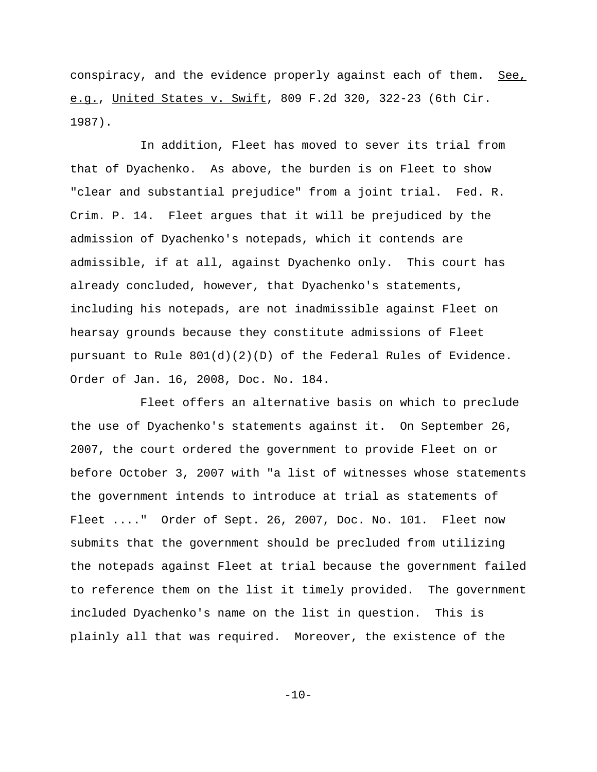conspiracy, and the evidence properly against each of them. See, e.g., United States v. Swift, 809 F.2d 320, 322-23 (6th Cir. 1987).

In addition, Fleet has moved to sever its trial from that of Dyachenko. As above, the burden is on Fleet to show "clear and substantial prejudice" from a joint trial. Fed. R. Crim. P. 14. Fleet argues that it will be prejudiced by the admission of Dyachenko's notepads, which it contends are admissible, if at all, against Dyachenko only. This court has already concluded, however, that Dyachenko's statements, including his notepads, are not inadmissible against Fleet on hearsay grounds because they constitute admissions of Fleet pursuant to Rule 801(d)(2)(D) of the Federal Rules of Evidence. Order of Jan. 16, 2008, Doc. No. 184.

Fleet offers an alternative basis on which to preclude the use of Dyachenko's statements against it. On September 26, 2007, the court ordered the government to provide Fleet on or before October 3, 2007 with "a list of witnesses whose statements the government intends to introduce at trial as statements of Fleet ...." Order of Sept. 26, 2007, Doc. No. 101. Fleet now submits that the government should be precluded from utilizing the notepads against Fleet at trial because the government failed to reference them on the list it timely provided. The government included Dyachenko's name on the list in question. This is plainly all that was required. Moreover, the existence of the

 $-10-$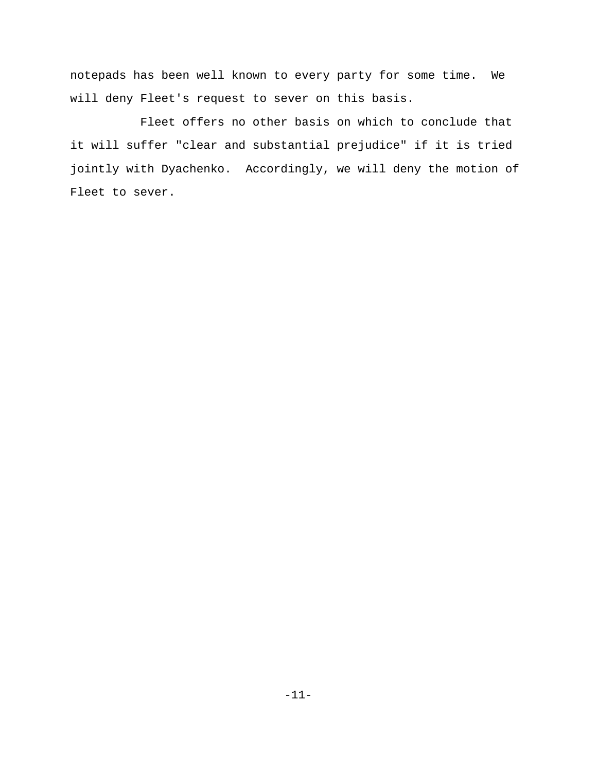notepads has been well known to every party for some time. We will deny Fleet's request to sever on this basis.

Fleet offers no other basis on which to conclude that it will suffer "clear and substantial prejudice" if it is tried jointly with Dyachenko. Accordingly, we will deny the motion of Fleet to sever.